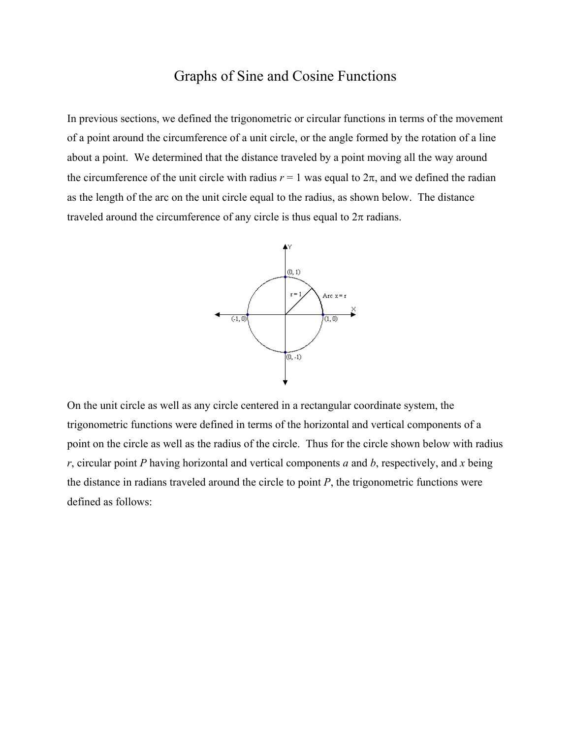## Graphs of Sine and Cosine Functions

In previous sections, we defined the trigonometric or circular functions in terms of the movement of a point around the circumference of a unit circle, or the angle formed by the rotation of a line about a point. We determined that the distance traveled by a point moving all the way around the circumference of the unit circle with radius  $r = 1$  was equal to  $2\pi$ , and we defined the radian as the length of the arc on the unit circle equal to the radius, as shown below. The distance traveled around the circumference of any circle is thus equal to  $2\pi$  radians.



On the unit circle as well as any circle centered in a rectangular coordinate system, the trigonometric functions were defined in terms of the horizontal and vertical components of a point on the circle as well as the radius of the circle. Thus for the circle shown below with radius *r*, circular point *P* having horizontal and vertical components *a* and *b*, respectively, and *x* being the distance in radians traveled around the circle to point *P*, the trigonometric functions were defined as follows: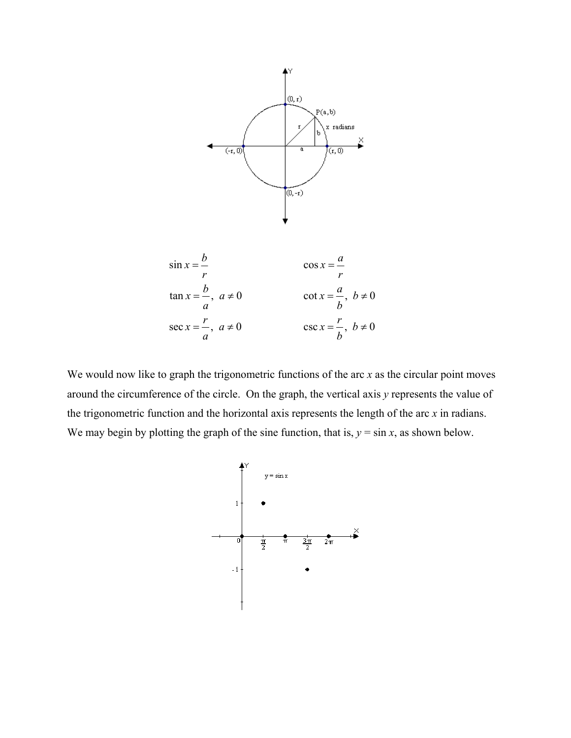



We would now like to graph the trigonometric functions of the arc *x* as the circular point moves around the circumference of the circle. On the graph, the vertical axis *y* represents the value of the trigonometric function and the horizontal axis represents the length of the arc *x* in radians. We may begin by plotting the graph of the sine function, that is,  $y = \sin x$ , as shown below.

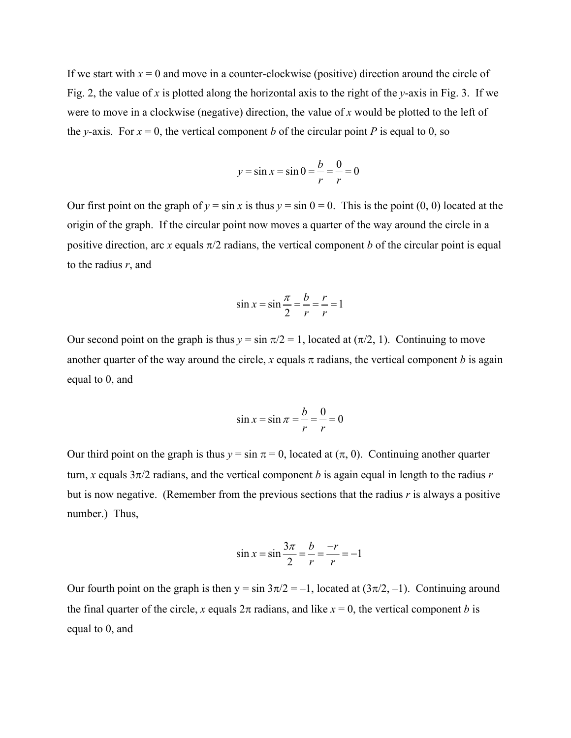If we start with  $x = 0$  and move in a counter-clockwise (positive) direction around the circle of Fig. 2, the value of *x* is plotted along the horizontal axis to the right of the *y*-axis in Fig. 3. If we were to move in a clockwise (negative) direction, the value of *x* would be plotted to the left of the *y*-axis. For  $x = 0$ , the vertical component *b* of the circular point *P* is equal to 0, so

$$
y = \sin x = \sin 0 = \frac{b}{r} = \frac{0}{r} = 0
$$

Our first point on the graph of  $y = \sin x$  is thus  $y = \sin 0 = 0$ . This is the point (0, 0) located at the origin of the graph. If the circular point now moves a quarter of the way around the circle in a positive direction, arc *x* equals  $\pi/2$  radians, the vertical component *b* of the circular point is equal to the radius *r*, and

$$
\sin x = \sin \frac{\pi}{2} = \frac{b}{r} = \frac{r}{r} = 1
$$

Our second point on the graph is thus  $y = \sin \pi/2 = 1$ , located at  $(\pi/2, 1)$ . Continuing to move another quarter of the way around the circle, *x* equals  $\pi$  radians, the vertical component *b* is again equal to 0, and

$$
\sin x = \sin \pi = \frac{b}{r} = \frac{0}{r} = 0
$$

Our third point on the graph is thus  $y = \sin \pi = 0$ , located at  $(\pi, 0)$ . Continuing another quarter turn, *x* equals  $3\pi/2$  radians, and the vertical component *b* is again equal in length to the radius *r* but is now negative. (Remember from the previous sections that the radius  $\dot{r}$  is always a positive number.) Thus,

$$
\sin x = \sin \frac{3\pi}{2} = \frac{b}{r} = \frac{-r}{r} = -1
$$

Our fourth point on the graph is then  $y = \sin 3\pi/2 = -1$ , located at  $(3\pi/2, -1)$ . Continuing around the final quarter of the circle, *x* equals  $2\pi$  radians, and like  $x = 0$ , the vertical component *b* is equal to 0, and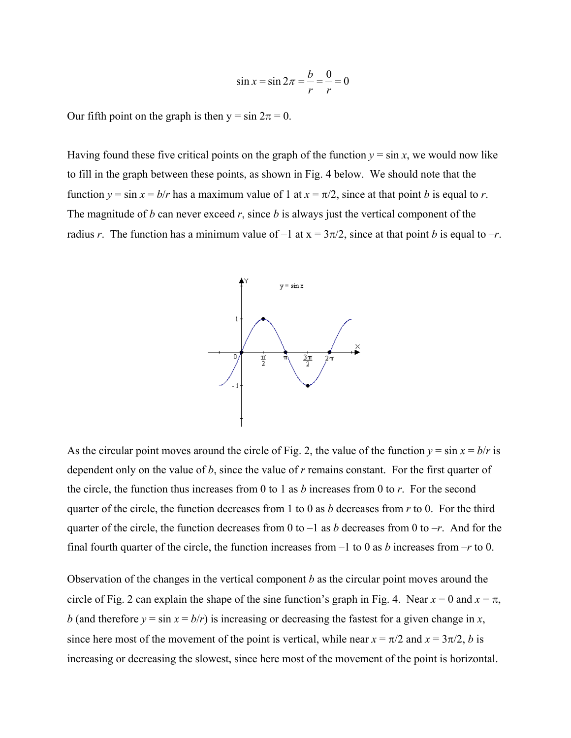$$
\sin x = \sin 2\pi = \frac{b}{r} = \frac{0}{r} = 0
$$

Our fifth point on the graph is then  $y = \sin 2\pi = 0$ .

Having found these five critical points on the graph of the function  $y = \sin x$ , we would now like to fill in the graph between these points, as shown in Fig. 4 below. We should note that the function  $y = \sin x = b/r$  has a maximum value of 1 at  $x = \pi/2$ , since at that point *b* is equal to *r*. The magnitude of  $b$  can never exceed  $r$ , since  $b$  is always just the vertical component of the radius *r*. The function has a minimum value of  $-1$  at  $x = 3\pi/2$ , since at that point *b* is equal to  $-r$ .



As the circular point moves around the circle of Fig. 2, the value of the function  $y = \sin x = b/r$  is dependent only on the value of *b*, since the value of *r* remains constant. For the first quarter of the circle, the function thus increases from 0 to 1 as *b* increases from 0 to *r*. For the second quarter of the circle, the function decreases from 1 to 0 as *b* decreases from *r* to 0. For the third quarter of the circle, the function decreases from 0 to  $-1$  as *b* decreases from 0 to  $-r$ . And for the final fourth quarter of the circle, the function increases from –1 to 0 as *b* increases from –*r* to 0.

Observation of the changes in the vertical component *b* as the circular point moves around the circle of Fig. 2 can explain the shape of the sine function's graph in Fig. 4. Near  $x = 0$  and  $x = \pi$ , *b* (and therefore  $y = \sin x = b/r$ ) is increasing or decreasing the fastest for a given change in *x*, since here most of the movement of the point is vertical, while near  $x = \pi/2$  and  $x = 3\pi/2$ , *b* is increasing or decreasing the slowest, since here most of the movement of the point is horizontal.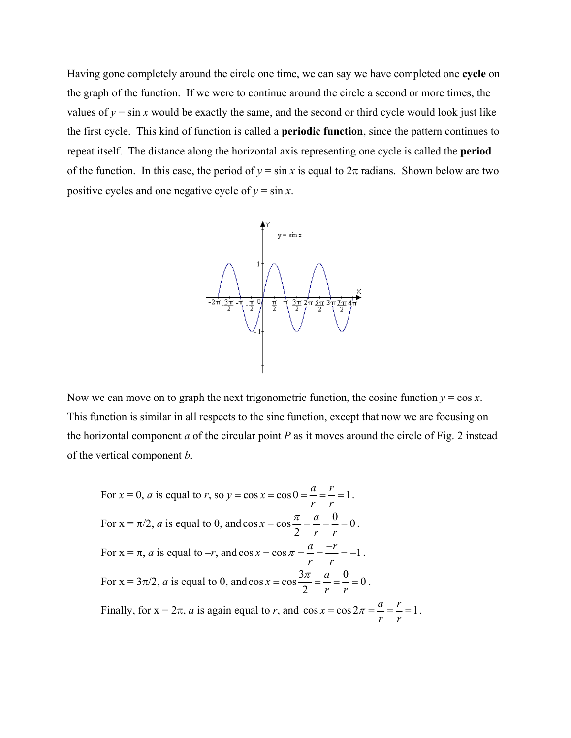Having gone completely around the circle one time, we can say we have completed one **cycle** on the graph of the function. If we were to continue around the circle a second or more times, the values of  $y = \sin x$  would be exactly the same, and the second or third cycle would look just like the first cycle. This kind of function is called a **periodic function**, since the pattern continues to repeat itself. The distance along the horizontal axis representing one cycle is called the **period** of the function. In this case, the period of  $y = \sin x$  is equal to  $2\pi$  radians. Shown below are two positive cycles and one negative cycle of  $y = \sin x$ .



Now we can move on to graph the next trigonometric function, the cosine function  $y = \cos x$ . This function is similar in all respects to the sine function, except that now we are focusing on the horizontal component *a* of the circular point *P* as it moves around the circle of Fig. 2 instead of the vertical component *b*.

For 
$$
x = 0
$$
, a is equal to r, so  $y = \cos x = \cos 0 = \frac{a}{r} = \frac{r}{r} = 1$ .  
\nFor  $x = \pi/2$ , a is equal to 0, and  $\cos x = \cos \frac{\pi}{2} = \frac{a}{r} = \frac{0}{r} = 0$ .  
\nFor  $x = \pi$ , a is equal to  $-r$ , and  $\cos x = \cos \pi = \frac{a}{r} = \frac{-r}{r} = -1$ .  
\nFor  $x = 3\pi/2$ , a is equal to 0, and  $\cos x = \cos \frac{3\pi}{2} = \frac{a}{r} = \frac{0}{r} = 0$ .  
\nFinally, for  $x = 2\pi$ , a is again equal to r, and  $\cos x = \cos 2\pi = \frac{a}{r} = \frac{r}{r} = 1$ .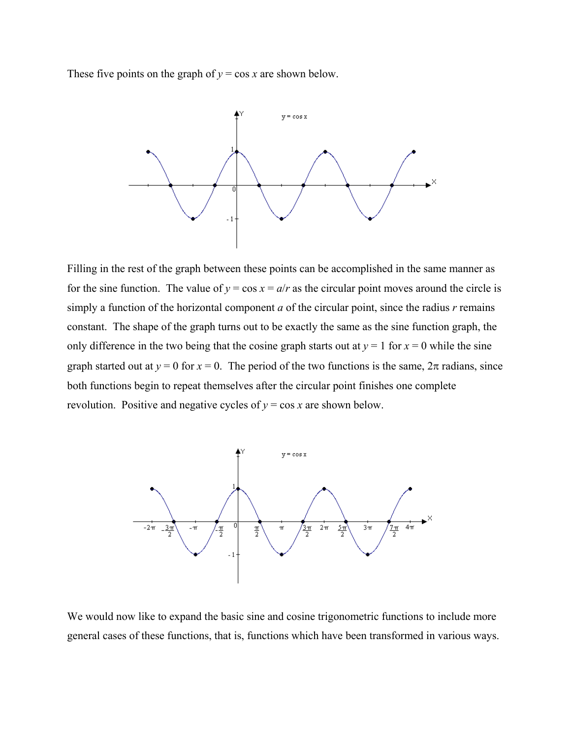These five points on the graph of  $y = \cos x$  are shown below.



Filling in the rest of the graph between these points can be accomplished in the same manner as for the sine function. The value of  $y = \cos x = a/r$  as the circular point moves around the circle is simply a function of the horizontal component *a* of the circular point, since the radius *r* remains constant. The shape of the graph turns out to be exactly the same as the sine function graph, the only difference in the two being that the cosine graph starts out at  $y = 1$  for  $x = 0$  while the sine graph started out at  $y = 0$  for  $x = 0$ . The period of the two functions is the same,  $2\pi$  radians, since both functions begin to repeat themselves after the circular point finishes one complete revolution. Positive and negative cycles of  $y = \cos x$  are shown below.



We would now like to expand the basic sine and cosine trigonometric functions to include more general cases of these functions, that is, functions which have been transformed in various ways.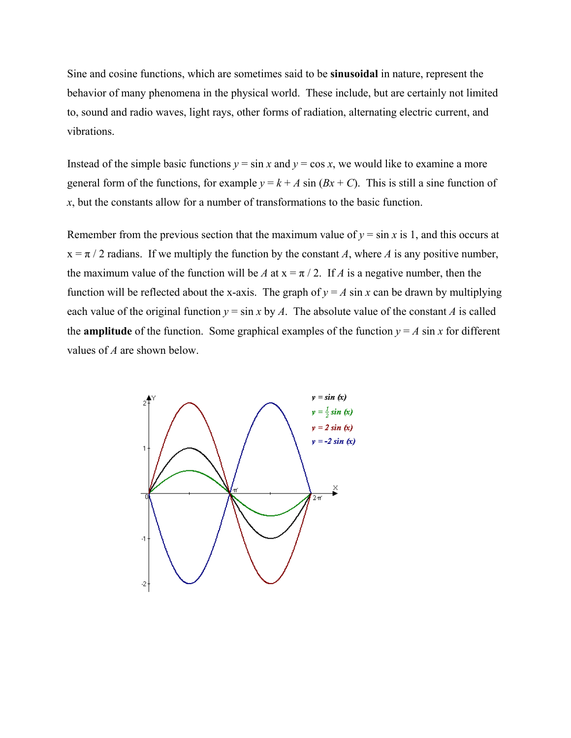Sine and cosine functions, which are sometimes said to be **sinusoidal** in nature, represent the behavior of many phenomena in the physical world. These include, but are certainly not limited to, sound and radio waves, light rays, other forms of radiation, alternating electric current, and vibrations.

Instead of the simple basic functions  $y = \sin x$  and  $y = \cos x$ , we would like to examine a more general form of the functions, for example  $y = k + A \sin(Bx + C)$ . This is still a sine function of *x*, but the constants allow for a number of transformations to the basic function.

Remember from the previous section that the maximum value of  $y = \sin x$  is 1, and this occurs at  $x = \pi / 2$  radians. If we multiply the function by the constant *A*, where *A* is any positive number, the maximum value of the function will be *A* at  $x = \pi / 2$ . If *A* is a negative number, then the function will be reflected about the x-axis. The graph of  $y = A \sin x$  can be drawn by multiplying each value of the original function  $y = \sin x$  by *A*. The absolute value of the constant *A* is called the **amplitude** of the function. Some graphical examples of the function  $y = A \sin x$  for different values of *A* are shown below.

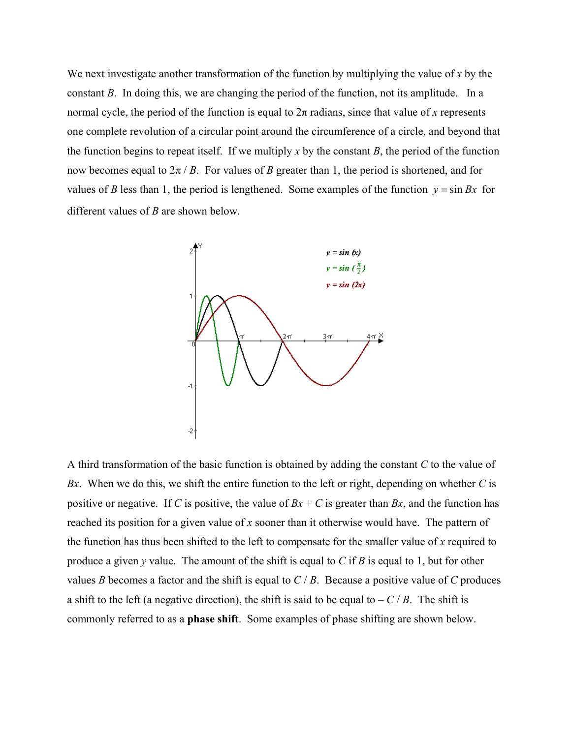We next investigate another transformation of the function by multiplying the value of *x* by the constant *B*. In doing this, we are changing the period of the function, not its amplitude. In a normal cycle, the period of the function is equal to  $2\pi$  radians, since that value of x represents one complete revolution of a circular point around the circumference of a circle, and beyond that the function begins to repeat itself. If we multiply x by the constant  $B$ , the period of the function now becomes equal to  $2\pi / B$ . For values of *B* greater than 1, the period is shortened, and for values of *B* less than 1, the period is lengthened. Some examples of the function  $y = \sin Bx$  for different values of *B* are shown below.



A third transformation of the basic function is obtained by adding the constant *C* to the value of *Bx*. When we do this, we shift the entire function to the left or right, depending on whether *C* is positive or negative. If *C* is positive, the value of  $Bx + C$  is greater than  $Bx$ , and the function has reached its position for a given value of *x* sooner than it otherwise would have. The pattern of the function has thus been shifted to the left to compensate for the smaller value of *x* required to produce a given *y* value. The amount of the shift is equal to *C* if *B* is equal to 1, but for other values *B* becomes a factor and the shift is equal to *C* / *B*. Because a positive value of *C* produces a shift to the left (a negative direction), the shift is said to be equal to  $-C/B$ . The shift is commonly referred to as a **phase shift**. Some examples of phase shifting are shown below.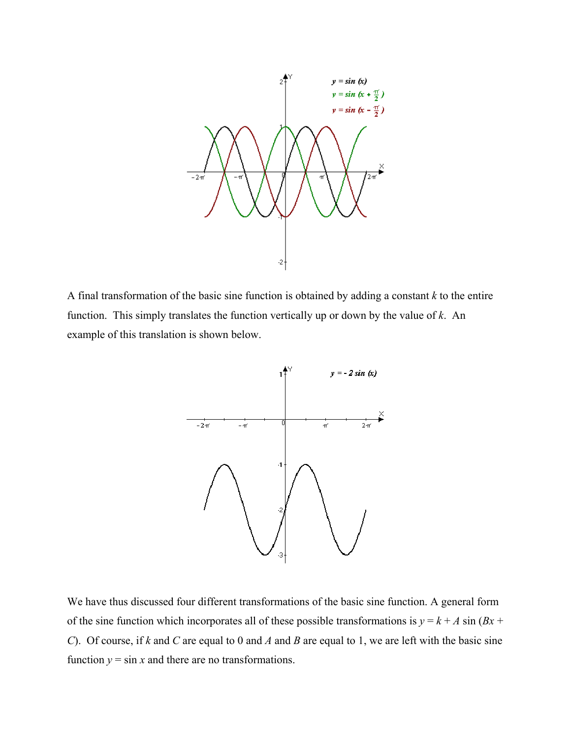

A final transformation of the basic sine function is obtained by adding a constant *k* to the entire function. This simply translates the function vertically up or down by the value of *k*. An example of this translation is shown below.



We have thus discussed four different transformations of the basic sine function. A general form of the sine function which incorporates all of these possible transformations is  $y = k + A \sin(Bx +$ *C*). Of course, if *k* and *C* are equal to 0 and *A* and *B* are equal to 1, we are left with the basic sine function  $y = \sin x$  and there are no transformations.